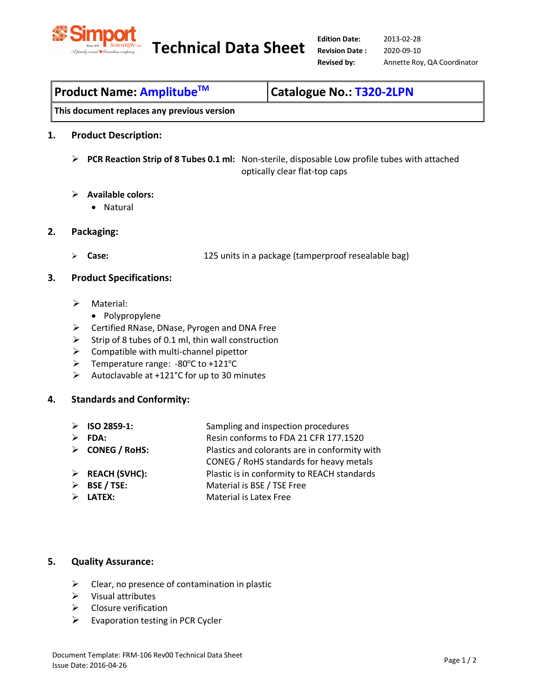

**Technical Data Sheet Edition Date:** 

| <b> Product Name: Amplitube<sup>™</sup></b> | <b>Catalogue No.: T320-2LPN</b> |
|---------------------------------------------|---------------------------------|
|---------------------------------------------|---------------------------------|

**This document replaces any previous version** 

## **1. Product Description:**

- **PCR Reaction Strip of 8 Tubes 0.1 ml:** Non-sterile, disposable Low profile tubes with attached optically clear flat-top caps
- **Available colors:**
	- Natural
- **2. Packaging:** 
	-

**Case:** 125 units in a package (tamperproof resealable bag)

### **3. Product Specifications:**

- > Material:
	- Polypropylene
- Certified RNase, DNase, Pyrogen and DNA Free
- $\triangleright$  Strip of 8 tubes of 0.1 ml, thin wall construction
- $\triangleright$  Compatible with multi-channel pipettor
- $\triangleright$  Temperature range: -80°C to +121°C
- Autoclavable at +121°C for up to 30 minutes

## **4. Standards and Conformity:**

- **ISO 2859-1:** Sampling and inspection procedures
- 

**FDA:** Resin conforms to FDA 21 CFR 177.1520

- **CONEG / RoHS:** Plastics and colorants are in conformity with
	-

CONEG / RoHS standards for heavy metals

- **REACH (SVHC):** Plastic is in conformity to REACH standards
- **BSE / TSE:** Material is BSE / TSE Free
- **LATEX:** Material is Latex Free

### **5. Quality Assurance:**

- $\triangleright$  Clear, no presence of contamination in plastic
- $\triangleright$  Visual attributes
- $\triangleright$  Closure verification
- $\triangleright$  Evaporation testing in PCR Cycler